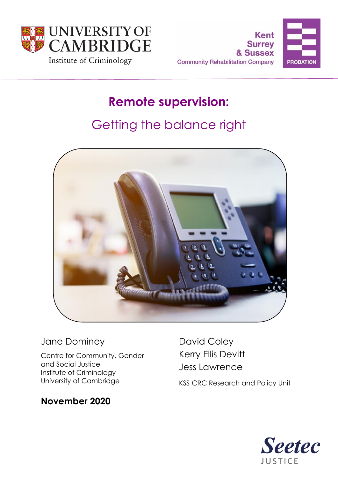





# **Remote supervision:**

# Getting the balance right



## Jane Dominey

Centre for Community, Gender and Social Justice Institute of Criminology University of Cambridge

David Coley Kerry Ellis Devitt Jess Lawrence

KSS CRC Research and Policy Unit



## **November 2020**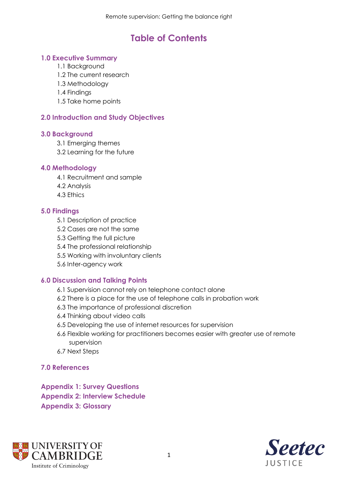## **Table of Contents**

#### **1.0 Executive Summary**

- 1.1 Background
- 1.2 The current research
- 1.3 Methodology
- 1.4 Findings
- 1.5 Take home points

#### **2.0 Introduction and Study Objectives**

#### **3.0 Background**

- 3.1 Emerging themes
- 3.2 Learning for the future

#### **4.0 Methodology**

- 4.1 Recruitment and sample
- 4.2 Analysis
- 4.3 Ethics

#### **5.0 Findings**

- 5.1 Description of practice
- 5.2 Cases are not the same
- 5.3 Getting the full picture
- 5.4 The professional relationship
- 5.5 Working with involuntary clients
- 5.6 Inter-agency work

#### **6.0 Discussion and Talking Points**

- 6.1 Supervision cannot rely on telephone contact alone
- 6.2 There is a place for the use of telephone calls in probation work
- 6.3 The importance of professional discretion
- 6.4 Thinking about video calls
- 6.5 Developing the use of internet resources for supervision
- 6.6 Flexible working for practitioners becomes easier with greater use of remote supervision
- 6.7 Next Steps

#### **7.0 References**

**Appendix 1: Survey Questions Appendix 2: Interview Schedule Appendix 3: Glossary** 



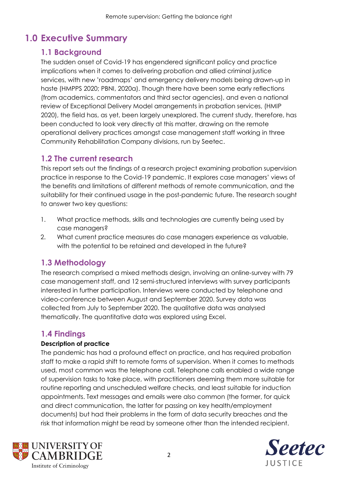## **1.0 Executive Summary**

### **1.1 Background**

The sudden onset of Covid-19 has engendered significant policy and practice implications when it comes to delivering probation and allied criminal justice services, with new 'roadmaps' and emergency delivery models being drawn-up in haste (HMPPS 2020; PBNI, 2020a). Though there have been some early reflections (from academics, commentators and third sector agencies), and even a national review of Exceptional Delivery Model arrangements in probation services, (HMIP 2020), the field has, as yet, been largely unexplored. The current study, therefore, has been conducted to look very directly at this matter, drawing on the remote operational delivery practices amongst case management staff working in three Community Rehabilitation Company divisions, run by Seetec.

### **1.2 The current research**

This report sets out the findings of a research project examining probation supervision practice in response to the Covid-19 pandemic. It explores case managers' views of the benefits and limitations of different methods of remote communication, and the suitability for their continued usage in the post-pandemic future. The research sought to answer two key questions:

- 1. What practice methods, skills and technologies are currently being used by case managers?
- 2. What current practice measures do case managers experience as valuable, with the potential to be retained and developed in the future?

## **1.3 Methodology**

The research comprised a mixed methods design, involving an online-survey with 79 case management staff, and 12 semi-structured interviews with survey participants interested in further participation. Interviews were conducted by telephone and video-conference between August and September 2020. Survey data was collected from July to September 2020. The qualitative data was analysed thematically. The quantitative data was explored using Excel.

## **1.4 Findings**

#### **Description of practice**

The pandemic has had a profound effect on practice, and has required probation staff to make a rapid shift to remote forms of supervision. When it comes to methods used, most common was the telephone call. Telephone calls enabled a wide range of supervision tasks to take place, with practitioners deeming them more suitable for routine reporting and unscheduled welfare checks, and least suitable for induction appointments. Text messages and emails were also common (the former, for quick and direct communication, the latter for passing on key health/employment documents) but had their problems in the form of data security breaches and the risk that information might be read by someone other than the intended recipient.



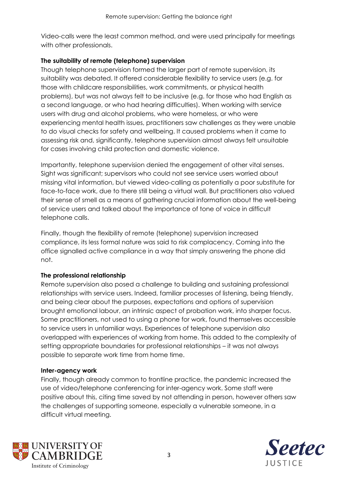Video-calls were the least common method, and were used principally for meetings with other professionals.

#### **The suitability of remote (telephone) supervision**

Though telephone supervision formed the larger part of remote supervision, its suitability was debated. It offered considerable flexibility to service users (e.g. for those with childcare responsibilities, work commitments, or physical health problems), but was not always felt to be inclusive (e.g. for those who had English as a second language, or who had hearing difficulties). When working with service users with drug and alcohol problems, who were homeless, or who were experiencing mental health issues, practitioners saw challenges as they were unable to do visual checks for safety and wellbeing. It caused problems when it came to assessing risk and, significantly, telephone supervision almost always felt unsuitable for cases involving child protection and domestic violence.

Importantly, telephone supervision denied the engagement of other vital senses. Sight was significant; supervisors who could not see service users worried about missing vital information, but viewed video-calling as potentially a poor substitute for face-to-face work, due to there still being a virtual wall. But practitioners also valued their sense of smell as a means of gathering crucial information about the well-being of service users and talked about the importance of tone of voice in difficult telephone calls.

Finally, though the flexibility of remote (telephone) supervision increased compliance, its less formal nature was said to risk complacency. Coming into the office signalled active compliance in a way that simply answering the phone did not.

#### **The professional relationship**

Remote supervision also posed a challenge to building and sustaining professional relationships with service users. Indeed, familiar processes of listening, being friendly, and being clear about the purposes, expectations and options of supervision brought emotional labour, an intrinsic aspect of probation work, into sharper focus. Some practitioners, not used to using a phone for work, found themselves accessible to service users in unfamiliar ways. Experiences of telephone supervision also overlapped with experiences of working from home. This added to the complexity of setting appropriate boundaries for professional relationships – it was not always possible to separate work time from home time.

#### **Inter-agency work**

Finally, though already common to frontline practice, the pandemic increased the use of video/telephone conferencing for inter-agency work. Some staff were positive about this, citing time saved by not attending in person, however others saw the challenges of supporting someone, especially a vulnerable someone, in a difficult virtual meeting.



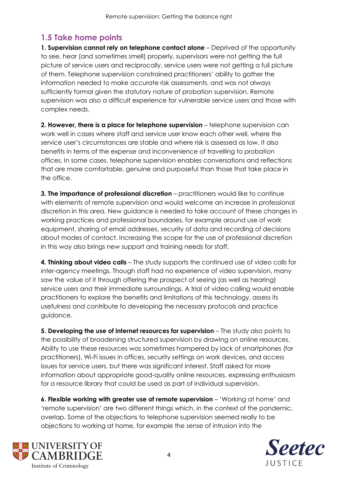## **1.5 Take home points**

**1. Supervision cannot rely on telephone contact alone** – Deprived of the opportunity to see, hear (and sometimes smell) properly, supervisors were not getting the full picture of service users and reciprocally, service users were not getting a full picture of them. Telephone supervision constrained practitioners' ability to gather the information needed to make accurate risk assessments, and was not always sufficiently formal given the statutory nature of probation supervision. Remote supervision was also a difficult experience for vulnerable service users and those with complex needs.

**2. However, there is a place for telephone supervision** – telephone supervision can work well in cases where staff and service user know each other well, where the service user's circumstances are stable and where risk is assessed as low. It also benefits in terms of the expense and inconvenience of travelling to probation offices. In some cases, telephone supervision enables conversations and reflections that are more comfortable, genuine and purposeful than those that take place in the office.

**3. The importance of professional discretion** – practitioners would like to continue with elements of remote supervision and would welcome an increase in professional discretion in this area. New guidance is needed to take account of these changes in working practices and professional boundaries, for example around use of work equipment, sharing of email addresses, security of data and recording of decisions about modes of contact. Increasing the scope for the use of professional discretion in this way also brings new support and training needs for staff.

**4. Thinking about video calls** – The study supports the continued use of video calls for inter-agency meetings. Though staff had no experience of video supervision, many saw the value of it through offering the prospect of seeing (as well as hearing) service users and their immediate surroundings. A trial of video calling would enable practitioners to explore the benefits and limitations of this technology, assess its usefulness and contribute to developing the necessary protocols and practice guidance.

**5. Developing the use of internet resources for supervision** – The study also points to the possibility of broadening structured supervision by drawing on online resources. Ability to use these resources was sometimes hampered by lack of smartphones (for practitioners), Wi-Fi issues in offices, security settings on work devices, and access issues for service users, but there was significant interest. Staff asked for more information about appropriate good-quality online resources, expressing enthusiasm for a resource library that could be used as part of individual supervision.

**6. Flexible working with greater use of remote supervision** – 'Working at home' and 'remote supervision' are two different things which, in the context of the pandemic, overlap. Some of the objections to telephone supervision seemed really to be objections to working at home, for example the sense of intrusion into the



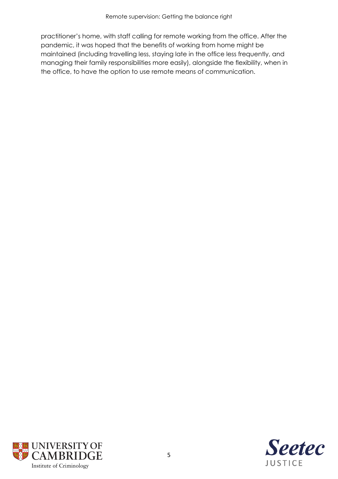practitioner's home, with staff calling for remote working from the office. After the pandemic, it was hoped that the benefits of working from home might be maintained (including travelling less, staying late in the office less frequently, and managing their family responsibilities more easily), alongside the flexibility, when in the office, to have the option to use remote means of communication.



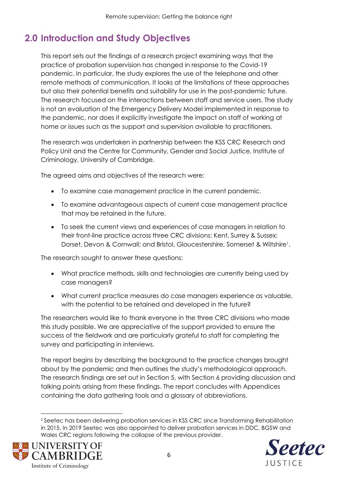## **2.0 Introduction and Study Objectives**

This report sets out the findings of a research project examining ways that the practice of probation supervision has changed in response to the Covid-19 pandemic. In particular, the study explores the use of the telephone and other remote methods of communication. It looks at the limitations of these approaches but also their potential benefits and suitability for use in the post-pandemic future. The research focused on the interactions between staff and service users. The study is not an evaluation of the Emergency Delivery Model implemented in response to the pandemic, nor does it explicitly investigate the impact on staff of working at home or issues such as the support and supervision available to practitioners.

The research was undertaken in partnership between the KSS CRC Research and Policy Unit and the Centre for Community, Gender and Social Justice, Institute of Criminology, University of Cambridge.

The agreed aims and objectives of the research were:

- To examine case management practice in the current pandemic.
- To examine advantageous aspects of current case management practice that may be retained in the future.
- To seek the current views and experiences of case managers in relation to their front-line practice across three CRC divisions: Kent, Surrey & Sussex; Dorset, Devon & Cornwall; and Bristol, Gloucestershire, Somerset & Wiltshire<sup>1</sup>.

The research sought to answer these questions:

- What practice methods, skills and technologies are currently being used by case managers?
- What current practice measures do case managers experience as valuable, with the potential to be retained and developed in the future?

The researchers would like to thank everyone in the three CRC divisions who made this study possible. We are appreciative of the support provided to ensure the success of the fieldwork and are particularly grateful to staff for completing the survey and participating in interviews.

The report begins by describing the background to the practice changes brought about by the pandemic and then outlines the study's methodological approach. The research findings are set out in Section 5, with Section 6 providing discussion and talking points arising from these findings. The report concludes with Appendices containing the data gathering tools and a glossary of abbreviations.

<sup>&</sup>lt;u>.</u> <sup>1</sup> Seetec has been delivering probation services in KSS CRC since Transforming Rehabilitation in 2015. In 2019 Seetec was also appointed to deliver probation services in DDC, BGSW and Wales CRC regions following the collapse of the previous provider.



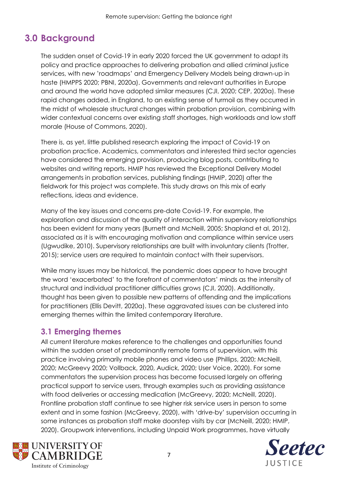## **3.0 Background**

The sudden onset of Covid-19 in early 2020 forced the UK government to adapt its policy and practice approaches to delivering probation and allied criminal justice services, with new 'roadmaps' and Emergency Delivery Models being drawn-up in haste (HMPPS 2020; PBNI, 2020a). Governments and relevant authorities in Europe and around the world have adopted similar measures (CJI, 2020; CEP, 2020a). These rapid changes added, in England, to an existing sense of turmoil as they occurred in the midst of wholesale structural changes within probation provision, combining with wider contextual concerns over existing staff shortages, high workloads and low staff morale (House of Commons, 2020).

There is, as yet, little published research exploring the impact of Covid-19 on probation practice. Academics, commentators and interested third sector agencies have considered the emerging provision, producing blog posts, contributing to websites and writing reports. HMIP has reviewed the Exceptional Delivery Model arrangements in probation services, publishing findings (HMIP, 2020) after the fieldwork for this project was complete. This study draws on this mix of early reflections, ideas and evidence.

Many of the key issues and concerns pre-date Covid-19. For example, the exploration and discussion of the quality of interaction within supervisory relationships has been evident for many years (Burnett and McNeill, 2005; Shapland et al, 2012), associated as it is with encouraging motivation and compliance within service users (Ugwudike, 2010). Supervisory relationships are built with involuntary clients (Trotter, 2015); service users are required to maintain contact with their supervisors.

While many issues may be historical, the pandemic does appear to have brought the word 'exacerbated' to the forefront of commentators' minds as the intensity of structural and individual practitioner difficulties grows (CJI, 2020). Additionally, thought has been given to possible new patterns of offending and the implications for practitioners (Ellis Devitt, 2020a). These aggravated issues can be clustered into emerging themes within the limited contemporary literature.

## **3.1 Emerging themes**

All current literature makes reference to the challenges and opportunities found within the sudden onset of predominantly remote forms of supervision, with this practice involving primarily mobile phones and video use (Phillips, 2020; McNeill, 2020; McGreevy 2020; Vollback, 2020, Audick, 2020; User Voice, 2020). For some commentators the supervision process has become focussed largely on offering practical support to service users, through examples such as providing assistance with food deliveries or accessing medication (McGreevy, 2020; McNeill, 2020). Frontline probation staff continue to see higher risk service users in person to some extent and in some fashion (McGreevy, 2020), with 'drive-by' supervision occurring in some instances as probation staff make doorstep visits by car (McNeill, 2020; HMIP, 2020). Groupwork interventions, including Unpaid Work programmes, have virtually



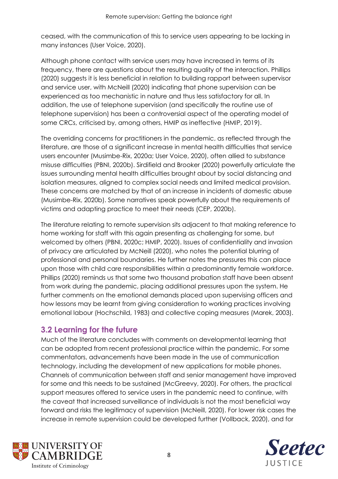ceased, with the communication of this to service users appearing to be lacking in many instances (User Voice, 2020).

Although phone contact with service users may have increased in terms of its frequency, there are questions about the resulting quality of the interaction. Phillips (2020) suggests it is less beneficial in relation to building rapport between supervisor and service user, with McNeill (2020) indicating that phone supervision can be experienced as too mechanistic in nature and thus less satisfactory for all. In addition, the use of telephone supervision (and specifically the routine use of telephone supervision) has been a controversial aspect of the operating model of some CRCs, criticised by, among others, HMIP as ineffective (HMIP, 2019).

The overriding concerns for practitioners in the pandemic, as reflected through the literature, are those of a significant increase in mental health difficulties that service users encounter (Musimbe-Rix, 2020a; User Voice, 2020), often allied to substance misuse difficulties (PBNI, 2020b). Sirdifield and Brooker (2020) powerfully articulate the issues surrounding mental health difficulties brought about by social distancing and isolation measures, aligned to complex social needs and limited medical provision. These concerns are matched by that of an increase in incidents of domestic abuse (Musimbe-Rix, 2020b). Some narratives speak powerfully about the requirements of victims and adapting practice to meet their needs (CEP, 2020b).

The literature relating to remote supervision sits adjacent to that making reference to home working for staff with this again presenting as challenging for some, but welcomed by others (PBNI, 2020c; HMIP, 2020). Issues of confidentiality and invasion of privacy are articulated by McNeill (2020), who notes the potential blurring of professional and personal boundaries. He further notes the pressures this can place upon those with child care responsibilities within a predominantly female workforce. Phillips (2020) reminds us that some two thousand probation staff have been absent from work during the pandemic, placing additional pressures upon the system. He further comments on the emotional demands placed upon supervising officers and how lessons may be learnt from giving consideration to working practices involving emotional labour (Hochschild, 1983) and collective coping measures (Marek, 2003).

## **3.2 Learning for the future**

Much of the literature concludes with comments on developmental learning that can be adopted from recent professional practice within the pandemic. For some commentators, advancements have been made in the use of communication technology, including the development of new applications for mobile phones. Channels of communication between staff and senior management have improved for some and this needs to be sustained (McGreevy, 2020). For others, the practical support measures offered to service users in the pandemic need to continue, with the caveat that increased surveillance of individuals is not the most beneficial way forward and risks the legitimacy of supervision (McNeill, 2020). For lower risk cases the increase in remote supervision could be developed further (Vollback, 2020), and for



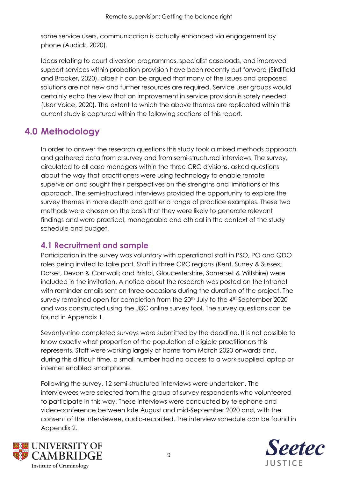some service users, communication is actually enhanced via engagement by phone (Audick, 2020).

Ideas relating to court diversion programmes, specialist caseloads, and improved support services within probation provision have been recently put forward (Sirdifield and Brooker, 2020), albeit it can be argued that many of the issues and proposed solutions are not new and further resources are required. Service user groups would certainly echo the view that an improvement in service provision is sorely needed (User Voice, 2020). The extent to which the above themes are replicated within this current study is captured within the following sections of this report.

## **4.0 Methodology**

In order to answer the research questions this study took a mixed methods approach and gathered data from a survey and from semi-structured interviews. The survey, circulated to all case managers within the three CRC divisions, asked questions about the way that practitioners were using technology to enable remote supervision and sought their perspectives on the strengths and limitations of this approach. The semi-structured interviews provided the opportunity to explore the survey themes in more depth and gather a range of practice examples. These two methods were chosen on the basis that they were likely to generate relevant findings and were practical, manageable and ethical in the context of the study schedule and budget.

## **4.1 Recruitment and sample**

Participation in the survey was voluntary with operational staff in PSO, PO and QDO roles being invited to take part. Staff in three CRC regions (Kent, Surrey & Sussex; Dorset, Devon & Cornwall; and Bristol, Gloucestershire, Somerset & Wiltshire) were included in the invitation. A notice about the research was posted on the Intranet with reminder emails sent on three occasions during the duration of the project. The survey remained open for completion from the 20<sup>th</sup> July to the 4<sup>th</sup> September 2020 and was constructed using the JiSC online survey tool. The survey questions can be found in Appendix 1.

Seventy-nine completed surveys were submitted by the deadline. It is not possible to know exactly what proportion of the population of eligible practitioners this represents. Staff were working largely at home from March 2020 onwards and, during this difficult time, a small number had no access to a work supplied laptop or internet enabled smartphone.

Following the survey, 12 semi-structured interviews were undertaken. The interviewees were selected from the group of survey respondents who volunteered to participate in this way. These interviews were conducted by telephone and video-conference between late August and mid-September 2020 and, with the consent of the interviewee, audio-recorded. The interview schedule can be found in Appendix 2.



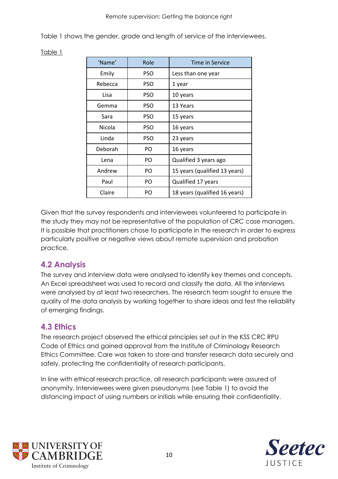Table 1 shows the gender, grade and length of service of the interviewees.

Table 1

| 'Name'  | Role       | Time in Service               |
|---------|------------|-------------------------------|
| Emily   | <b>PSO</b> | Less than one year            |
| Rebecca | <b>PSO</b> | 1 year                        |
| Lisa    | <b>PSO</b> | 10 years                      |
| Gemma   | <b>PSO</b> | 13 Years                      |
| Sara    | <b>PSO</b> | 15 years                      |
| Nicola  | <b>PSO</b> | 16 years                      |
| Linda   | <b>PSO</b> | 23 years                      |
| Deborah | PO         | 16 years                      |
| Lena    | PO         | Qualified 3 years ago         |
| Andrew  | PO         | 15 years (qualified 13 years) |
| Paul    | PO         | Qualified 17 years            |
| Claire  | PO         | 18 years (qualified 16 years) |

Given that the survey respondents and interviewees volunteered to participate in the study they may not be representative of the population of CRC case managers. It is possible that practitioners chose to participate in the research in order to express particularly positive or negative views about remote supervision and probation practice.

## **4.2 Analysis**

The survey and interview data were analysed to identify key themes and concepts. An Excel spreadsheet was used to record and classify the data. All the interviews were analysed by at least two researchers. The research team sought to ensure the quality of the data analysis by working together to share ideas and test the reliability of emerging findings.

### **4.3 Ethics**

The research project observed the ethical principles set out in the KSS CRC RPU Code of Ethics and gained approval from the Institute of Criminology Research Ethics Committee. Care was taken to store and transfer research data securely and safely, protecting the confidentiality of research participants.

In line with ethical research practice, all research participants were assured of anonymity. Interviewees were given pseudonyms (see Table 1) to avoid the distancing impact of using numbers or initials while ensuring their confidentiality.



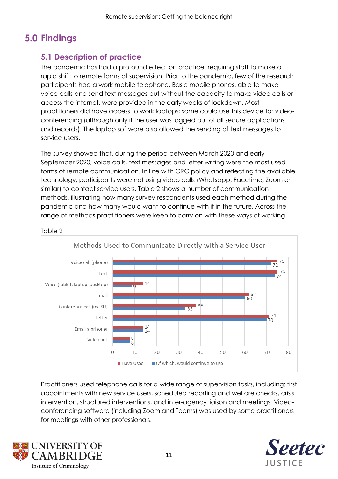## **5.0 Findings**

## **5.1 Description of practice**

The pandemic has had a profound effect on practice, requiring staff to make a rapid shift to remote forms of supervision. Prior to the pandemic, few of the research participants had a work mobile telephone. Basic mobile phones, able to make voice calls and send text messages but without the capacity to make video calls or access the internet, were provided in the early weeks of lockdown. Most practitioners did have access to work laptops; some could use this device for videoconferencing (although only if the user was logged out of all secure applications and records). The laptop software also allowed the sending of text messages to service users.

The survey showed that, during the period between March 2020 and early September 2020, voice calls, text messages and letter writing were the most used forms of remote communication. In line with CRC policy and reflecting the available technology, participants were not using video calls (Whatsapp, Facetime, Zoom or similar) to contact service users. Table 2 shows a number of communication methods, illustrating how many survey respondents used each method during the pandemic and how many would want to continue with it in the future. Across the range of methods practitioners were keen to carry on with these ways of working.



#### Table 2

Practitioners used telephone calls for a wide range of supervision tasks, including: first appointments with new service users, scheduled reporting and welfare checks, crisis intervention, structured interventions, and inter-agency liaison and meetings. Videoconferencing software (including Zoom and Teams) was used by some practitioners for meetings with other professionals.



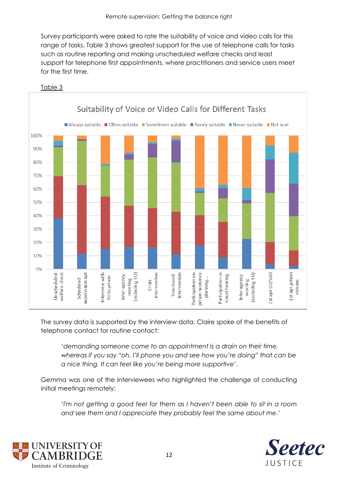Survey participants were asked to rate the suitability of voice and video calls for this range of tasks. Table 3 shows greatest support for the use of telephone calls for tasks such as routine reporting and making unscheduled welfare checks and least support for telephone first appointments, where practitioners and service users meet for the first time.



Table 3

The survey data is supported by the interview data. Claire spoke of the benefits of telephone contact for routine contact:

'*demanding someone come to an appointment is a drain on their time, whereas if you say "oh, I'll phone you and see how you're doing" that can be a nice thing. It can feel like you're being more supportive*'.

Gemma was one of the interviewees who highlighted the challenge of conducting initial meetings remotely:

'*I'm not getting a good feel for them as I haven't been able to sit in a room and see them and I appreciate they probably feel the same about me*.'



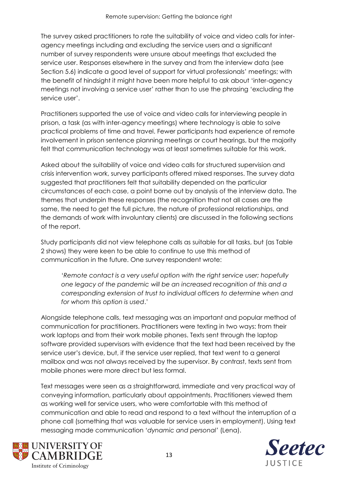The survey asked practitioners to rate the suitability of voice and video calls for interagency meetings including and excluding the service users and a significant number of survey respondents were unsure about meetings that excluded the service user. Responses elsewhere in the survey and from the interview data (see Section 5.6) indicate a good level of support for virtual professionals' meetings; with the benefit of hindsight it might have been more helpful to ask about 'inter-agency meetings not involving a service user' rather than to use the phrasing 'excluding the service user'.

Practitioners supported the use of voice and video calls for interviewing people in prison, a task (as with inter-agency meetings) where technology is able to solve practical problems of time and travel. Fewer participants had experience of remote involvement in prison sentence planning meetings or court hearings, but the majority felt that communication technology was at least sometimes suitable for this work.

Asked about the suitability of voice and video calls for structured supervision and crisis intervention work, survey participants offered mixed responses. The survey data suggested that practitioners felt that suitability depended on the particular circumstances of each case, a point borne out by analysis of the interview data. The themes that underpin these responses (the recognition that not all cases are the same, the need to get the full picture, the nature of professional relationships, and the demands of work with involuntary clients) are discussed in the following sections of the report.

Study participants did not view telephone calls as suitable for all tasks, but (as Table 2 shows) they were keen to be able to continue to use this method of communication in the future. One survey respondent wrote:

'*Remote contact is a very useful option with the right service user; hopefully one legacy of the pandemic will be an increased recognition of this and a corresponding extension of trust to individual officers to determine when and for whom this option is used*.'

Alongside telephone calls, text messaging was an important and popular method of communication for practitioners. Practitioners were texting in two ways: from their work laptops and from their work mobile phones. Texts sent through the laptop software provided supervisors with evidence that the text had been received by the service user's device, but, if the service user replied, that text went to a general mailbox and was not always received by the supervisor. By contrast, texts sent from mobile phones were more direct but less formal.

Text messages were seen as a straightforward, immediate and very practical way of conveying information, particularly about appointments. Practitioners viewed them as working well for service users, who were comfortable with this method of communication and able to read and respond to a text without the interruption of a phone call (something that was valuable for service users in employment). Using text messaging made communication '*dynamic and personal'* (Lena).



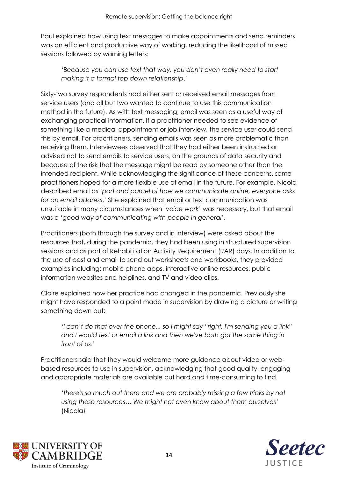Paul explained how using text messages to make appointments and send reminders was an efficient and productive way of working, reducing the likelihood of missed sessions followed by warning letters:

'*Because you can use text that way, you don't even really need to start making it a formal top down relationship*.'

Sixty-two survey respondents had either sent or received email messages from service users (and all but two wanted to continue to use this communication method in the future). As with text messaging, email was seen as a useful way of exchanging practical information. If a practitioner needed to see evidence of something like a medical appointment or job interview, the service user could send this by email. For practitioners, sending emails was seen as more problematic than receiving them. Interviewees observed that they had either been instructed or advised not to send emails to service users, on the grounds of data security and because of the risk that the message might be read by someone other than the intended recipient. While acknowledging the significance of these concerns, some practitioners hoped for a more flexible use of email in the future. For example, Nicola described email as '*part and parcel of how we communicate online, everyone asks for an email address*.' She explained that email or text communication was unsuitable in many circumstances when '*voice work*' was necessary, but that email was a '*good way of communicating with people in general*'.

Practitioners (both through the survey and in interview) were asked about the resources that, during the pandemic, they had been using in structured supervision sessions and as part of Rehabilitation Activity Requirement (RAR) days. In addition to the use of post and email to send out worksheets and workbooks, they provided examples including: mobile phone apps, interactive online resources, public information websites and helplines, and TV and video clips.

Claire explained how her practice had changed in the pandemic. Previously she might have responded to a point made in supervision by drawing a picture or writing something down but:

'*I can't do that over the phone... so I might say "right, I'm sending you a link"*  and I would text or email a link and then we've both got the same thing in *front of us*.'

Practitioners said that they would welcome more guidance about video or webbased resources to use in supervision, acknowledging that good quality, engaging and appropriate materials are available but hard and time-consuming to find.

'*there's so much out there and we are probably missing a few tricks by not using these resources… We might not even know about them ourselves*' (Nicola)



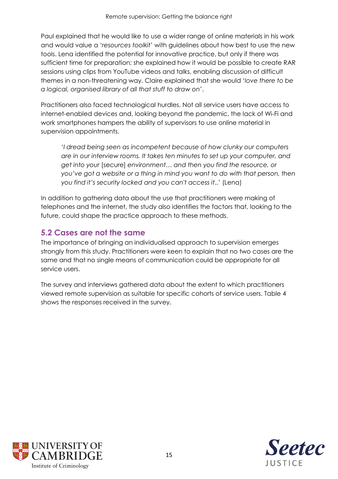Paul explained that he would like to use a wider range of online materials in his work and would value a '*resources toolkit*' with guidelines about how best to use the new tools. Lena identified the potential for innovative practice, but only if there was sufficient time for preparation; she explained how it would be possible to create RAR sessions using clips from YouTube videos and talks, enabling discussion of difficult themes in a non-threatening way. Claire explained that she would '*love there to be a logical, organised library of all that stuff to draw on*'.

Practitioners also faced technological hurdles. Not all service users have access to internet-enabled devices and, looking beyond the pandemic, the lack of Wi-Fi and work smartphones hampers the ability of supervisors to use online material in supervision appointments.

'*I dread being seen as incompetent because of how clunky our computers are in our interview rooms. It takes ten minutes to set up your computer, and get into your* [secure] *environment… and then you find the resource, or you've got a website or a thing in mind you want to do with that person, then you find it's security locked and you can't access it*..' (Lena)

In addition to gathering data about the use that practitioners were making of telephones and the internet, the study also identifies the factors that, looking to the future, could shape the practice approach to these methods.

### **5.2 Cases are not the same**

The importance of bringing an individualised approach to supervision emerges strongly from this study. Practitioners were keen to explain that no two cases are the same and that no single means of communication could be appropriate for all service users.

The survey and interviews gathered data about the extent to which practitioners viewed remote supervision as suitable for specific cohorts of service users. Table 4 shows the responses received in the survey.



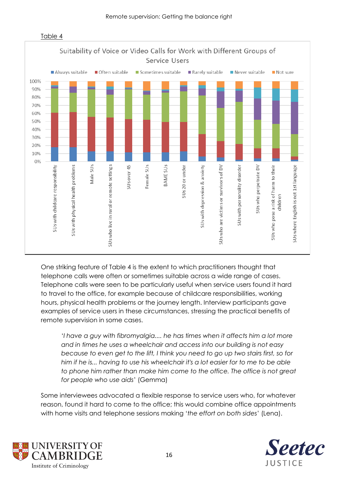

One striking feature of Table 4 is the extent to which practitioners thought that telephone calls were often or sometimes suitable across a wide range of cases. Telephone calls were seen to be particularly useful when service users found it hard to travel to the office, for example because of childcare responsibilities, working hours, physical health problems or the journey length. Interview participants gave examples of service users in these circumstances, stressing the practical benefits of remote supervision in some cases.

'*I have a guy with fibromyalgia.... he has times when it affects him a lot more and in times he uses a wheelchair and access into our building is not easy because to even get to the lift, I think you need to go up two stairs first, so for him if he is... having to use his wheelchair it's a lot easier for to me to be able to phone him rather than make him come to the office. The office is not great for people who use aids*' (Gemma)

Some interviewees advocated a flexible response to service users who, for whatever reason, found it hard to come to the office; this would combine office appointments with home visits and telephone sessions making '*the effort on both sides*' (Lena).



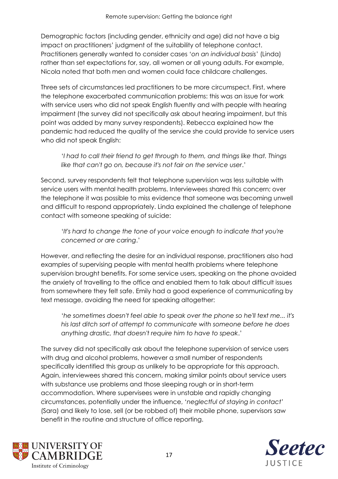Demographic factors (including gender, ethnicity and age) did not have a big impact on practitioners' judgment of the suitability of telephone contact. Practitioners generally wanted to consider cases '*on an individual basis*' (Linda) rather than set expectations for, say, all women or all young adults. For example, Nicola noted that both men and women could face childcare challenges.

Three sets of circumstances led practitioners to be more circumspect. First, where the telephone exacerbated communication problems: this was an issue for work with service users who did not speak English fluently and with people with hearing impairment (the survey did not specifically ask about hearing impairment, but this point was added by many survey respondents). Rebecca explained how the pandemic had reduced the quality of the service she could provide to service users who did not speak English:

'*I had to call their friend to get through to them, and things like that. Things like that can't go on, because it's not fair on the service user*.'

Second, survey respondents felt that telephone supervision was less suitable with service users with mental health problems. Interviewees shared this concern; over the telephone it was possible to miss evidence that someone was becoming unwell and difficult to respond appropriately. Linda explained the challenge of telephone contact with someone speaking of suicide:

'*It's hard to change the tone of your voice enough to indicate that you're concerned or are caring*.'

However, and reflecting the desire for an individual response, practitioners also had examples of supervising people with mental health problems where telephone supervision brought benefits. For some service users, speaking on the phone avoided the anxiety of travelling to the office and enabled them to talk about difficult issues from somewhere they felt safe. Emily had a good experience of communicating by text message, avoiding the need for speaking altogether:

'*he sometimes doesn't feel able to speak over the phone so he'll text me... it's his last ditch sort of attempt to communicate with someone before he does anything drastic, that doesn't require him to have to speak*.'

The survey did not specifically ask about the telephone supervision of service users with drug and alcohol problems, however a small number of respondents specifically identified this group as unlikely to be appropriate for this approach. Again, interviewees shared this concern, making similar points about service users with substance use problems and those sleeping rough or in short-term accommodation. Where supervisees were in unstable and rapidly changing circumstances, potentially under the influence, '*neglectful of staying in contact*' (Sara) and likely to lose, sell (or be robbed of) their mobile phone, supervisors saw benefit in the routine and structure of office reporting.



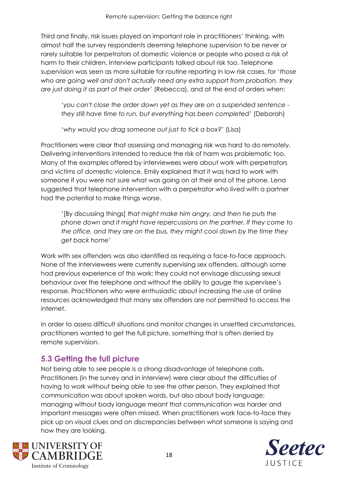Third and finally, risk issues played an important role in practitioners' thinking, with almost half the survey respondents deeming telephone supervision to be never or rarely suitable for perpetrators of domestic violence or people who posed a risk of harm to their children. Interview participants talked about risk too. Telephone supervision was seen as more suitable for routine reporting in low risk cases, for '*those who are going well and don't actually need any extra support from probation, they are just doing it as part of their order*' (Rebecca), and at the end of orders when:

'*you can't close the order down yet as they are on a suspended sentence they still have time to run, but everything has been completed*' (Deborah)

'*why would you drag someone out just to tick a box?*' (Lisa)

Practitioners were clear that assessing and managing risk was hard to do remotely. Delivering interventions intended to reduce the risk of harm was problematic too. Many of the examples offered by interviewees were about work with perpetrators and victims of domestic violence. Emily explained that it was hard to work with someone if you were not sure what was going on at their end of the phone. Lena suggested that telephone intervention with a perpetrator who lived with a partner had the potential to make things worse.

'[By discussing things] *that might make him angry, and then he puts the phone down and it might have repercussions on the partner. If they come to the office, and they are on the bus, they might cool down by the time they get back home*'

Work with sex offenders was also identified as requiring a face-to-face approach. None of the interviewees were currently supervising sex offenders, although some had previous experience of this work; they could not envisage discussing sexual behaviour over the telephone and without the ability to gauge the supervisee's response. Practitioners who were enthusiastic about increasing the use of online resources acknowledged that many sex offenders are not permitted to access the internet.

In order to assess difficult situations and monitor changes in unsettled circumstances, practitioners wanted to get the full picture, something that is often denied by remote supervision.

## **5.3 Getting the full picture**

Not being able to see people is a strong disadvantage of telephone calls. Practitioners (in the survey and in interview) were clear about the difficulties of having to work without being able to see the other person. They explained that communication was about spoken words, but also about body language; managing without body language meant that communication was harder and important messages were often missed. When practitioners work face-to-face they pick up on visual clues and on discrepancies between what someone is saying and how they are looking.



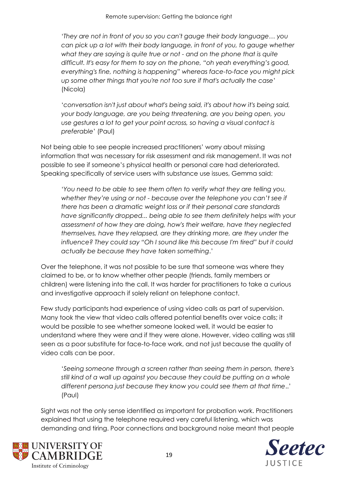'*They are not in front of you so you can't gauge their body language… you can pick up a lot with their body language, in front of you, to gauge whether what they are saying is quite true or not - and on the phone that is quite difficult. It's easy for them to say on the phone, "oh yeah everything's good, everything's fine, nothing is happening" whereas face-to-face you might pick up some other things that you're not too sure if that's actually the case*' (Nicola)

'*conversation isn't just about what's being said, it's about how it's being said, your body language, are you being threatening, are you being open, you use gestures a lot to get your point across, so having a visual contact is preferable*' (Paul)

Not being able to see people increased practitioners' worry about missing information that was necessary for risk assessment and risk management. It was not possible to see if someone's physical health or personal care had deteriorated. Speaking specifically of service users with substance use issues, Gemma said:

'*You need to be able to see them often to verify what they are telling you, whether they're using or not - because over the telephone you can't see if there has been a dramatic weight loss or if their personal care standards have significantly dropped... being able to see them definitely helps with your assessment of how they are doing, how's their welfare, have they neglected themselves, have they relapsed, are they drinking more, are they under the influence? They could say "Oh I sound like this because I'm tired" but it could actually be because they have taken something*.'

Over the telephone, it was not possible to be sure that someone was where they claimed to be, or to know whether other people (friends, family members or children) were listening into the call. It was harder for practitioners to take a curious and investigative approach if solely reliant on telephone contact.

Few study participants had experience of using video calls as part of supervision. Many took the view that video calls offered potential benefits over voice calls; it would be possible to see whether someone looked well, it would be easier to understand where they were and if they were alone. However, video calling was still seen as a poor substitute for face-to-face work, and not just because the quality of video calls can be poor.

'*Seeing someone through a screen rather than seeing them in person, there's still kind of a wall up against you because they could be putting on a whole different persona just because they know you could see them at that time*..' (Paul)

Sight was not the only sense identified as important for probation work. Practitioners explained that using the telephone required very careful listening, which was demanding and tiring. Poor connections and background noise meant that people



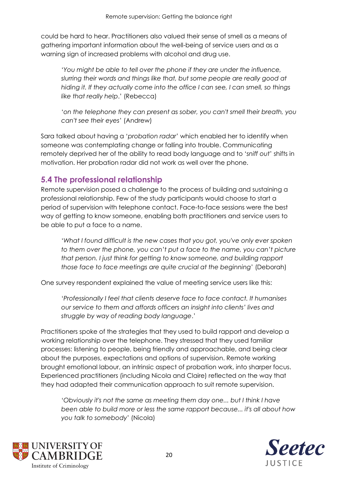could be hard to hear. Practitioners also valued their sense of smell as a means of gathering important information about the well-being of service users and as a warning sign of increased problems with alcohol and drug use.

'*You might be able to tell over the phone if they are under the influence, slurring their words and things like that, but some people are really good at hiding it. If they actually come into the office I can see, I can smell, so things like that really help*.' (Rebecca)

'*on the telephone they can present as sober, you can't smell their breath, you can't see their eyes*' (Andrew)

Sara talked about having a '*probation radar*' which enabled her to identify when someone was contemplating change or falling into trouble. Communicating remotely deprived her of the ability to read body language and to '*sniff out*' shifts in motivation. Her probation radar did not work as well over the phone.

### **5.4 The professional relationship**

Remote supervision posed a challenge to the process of building and sustaining a professional relationship. Few of the study participants would choose to start a period of supervision with telephone contact. Face-to-face sessions were the best way of getting to know someone, enabling both practitioners and service users to be able to put a face to a name.

'*What I found difficult is the new cases that you got, you've only ever spoken to them over the phone, you can't put a face to the name, you can't picture that person. I just think for getting to know someone, and building rapport those face to face meetings are quite crucial at the beginning*' (Deborah)

One survey respondent explained the value of meeting service users like this:

'*Professionally I feel that clients deserve face to face contact. It humanises our service to them and affords officers an insight into clients' lives and struggle by way of reading body language*.'

Practitioners spoke of the strategies that they used to build rapport and develop a working relationship over the telephone. They stressed that they used familiar processes: listening to people, being friendly and approachable, and being clear about the purposes, expectations and options of supervision. Remote working brought emotional labour, an intrinsic aspect of probation work, into sharper focus. Experienced practitioners (including Nicola and Claire) reflected on the way that they had adapted their communication approach to suit remote supervision.

'*Obviously it's not the same as meeting them day one... but I think I have been able to build more or less the same rapport because... it's all about how you talk to somebody*' (Nicola)



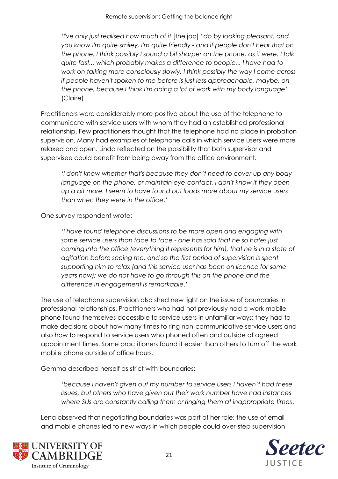'*I've only just realised how much of it* [the job] *I do by looking pleasant, and you know I'm quite smiley, I'm quite friendly - and if people don't hear that on the phone, I think possibly I sound a bit sharper on the phone, as it were, I talk quite fast... which probably makes a difference to people... I have had to work on talking more consciously slowly. I think possibly the way I come across if people haven't spoken to me before is just less approachable, maybe, on the phone, because I think I'm doing a lot of work with my body language*' (Claire)

Practitioners were considerably more positive about the use of the telephone to communicate with service users with whom they had an established professional relationship. Few practitioners thought that the telephone had no place in probation supervision. Many had examples of telephone calls in which service users were more relaxed and open. Linda reflected on the possibility that both supervisor and supervisee could benefit from being away from the office environment.

'*I don't know whether that's because they don't need to cover up any body language on the phone, or maintain eye-contact. I don't know if they open up a bit more. I seem to have found out loads more about my service users than when they were in the office*.'

One survey respondent wrote:

'*I have found telephone discussions to be more open and engaging with some service users than face to face - one has said that he so hates just coming into the office (everything it represents for him), that he is in a state of agitation before seeing me, and so the first period of supervision is spent supporting him to relax (and this service user has been on licence for some years now); we do not have to go through this on the phone and the difference in engagement is remarkable*.'

The use of telephone supervision also shed new light on the issue of boundaries in professional relationships. Practitioners who had not previously had a work mobile phone found themselves accessible to service users in unfamiliar ways; they had to make decisions about how many times to ring non-communicative service users and also how to respond to service users who phoned often and outside of agreed appointment times. Some practitioners found it easier than others to turn off the work mobile phone outside of office hours.

Gemma described herself as strict with boundaries:

'*because I haven't given out my number to service users I haven't had these issues, but others who have given out their work number have had instances where SUs are constantly calling them or ringing them at inappropriate times*.'

Lena observed that negotiating boundaries was part of her role; the use of email and mobile phones led to new ways in which people could over-step supervision



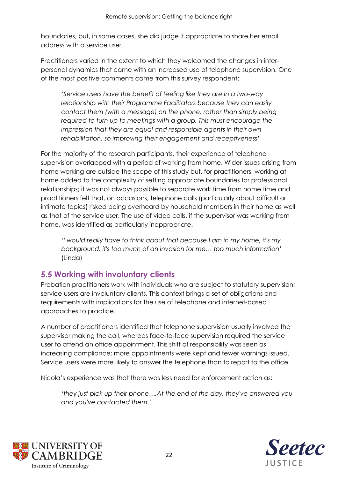boundaries, but, in some cases, she did judge it appropriate to share her email address with a service user.

Practitioners varied in the extent to which they welcomed the changes in interpersonal dynamics that came with an increased use of telephone supervision. One of the most positive comments came from this survey respondent:

'*Service users have the benefit of feeling like they are in a two-way relationship with their Programme Facilitators because they can easily contact them (with a message) on the phone, rather than simply being required to turn up to meetings with a group. This must encourage the impression that they are equal and responsible agents in their own rehabilitation, so improving their engagement and receptiveness*'

For the majority of the research participants, their experience of telephone supervision overlapped with a period of working from home. Wider issues arising from home working are outside the scope of this study but, for practitioners, working at home added to the complexity of setting appropriate boundaries for professional relationships; it was not always possible to separate work time from home time and practitioners felt that, on occasions, telephone calls (particularly about difficult or intimate topics) risked being overheard by household members in their home as well as that of the service user. The use of video calls, if the supervisor was working from home, was identified as particularly inappropriate.

'*I would really have to think about that because I am in my home, it's my background, it's too much of an invasion for me… too much information*' (Linda)

## **5.5 Working with involuntary clients**

Probation practitioners work with individuals who are subject to statutory supervision; service users are involuntary clients. This context brings a set of obligations and requirements with implications for the use of telephone and internet-based approaches to practice.

A number of practitioners identified that telephone supervision usually involved the supervisor making the call, whereas face-to-face supervision required the service user to attend an office appointment. This shift of responsibility was seen as increasing compliance; more appointments were kept and fewer warnings issued. Service users were more likely to answer the telephone than to report to the office.

Nicola's experience was that there was less need for enforcement action as:

'*they just pick up their phone….At the end of the day, they've answered you and you've contacted them*.'



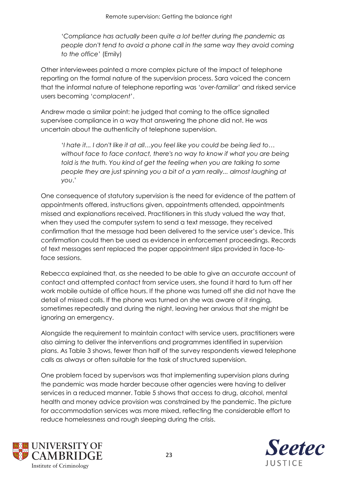'*Compliance has actually been quite a lot better during the pandemic as people don't tend to avoid a phone call in the same way they avoid coming to the office*' (Emily)

Other interviewees painted a more complex picture of the impact of telephone reporting on the formal nature of the supervision process. Sara voiced the concern that the informal nature of telephone reporting was '*over-familiar*' and risked service users becoming '*complacent*'.

Andrew made a similar point: he judged that coming to the office signalled supervisee compliance in a way that answering the phone did not. He was uncertain about the authenticity of telephone supervision.

'*I hate it... I don't like it at all…you feel like you could be being lied to… without face to face contact, there's no way to know if what you are being told is the truth. You kind of get the feeling when you are talking to some people they are just spinning you a bit of a yarn really... almost laughing at you*.'

One consequence of statutory supervision is the need for evidence of the pattern of appointments offered, instructions given, appointments attended, appointments missed and explanations received. Practitioners in this study valued the way that, when they used the computer system to send a text message, they received confirmation that the message had been delivered to the service user's device. This confirmation could then be used as evidence in enforcement proceedings. Records of text messages sent replaced the paper appointment slips provided in face-toface sessions.

Rebecca explained that, as she needed to be able to give an accurate account of contact and attempted contact from service users, she found it hard to turn off her work mobile outside of office hours. If the phone was turned off she did not have the detail of missed calls. If the phone was turned on she was aware of it ringing, sometimes repeatedly and during the night, leaving her anxious that she might be ignoring an emergency.

Alongside the requirement to maintain contact with service users, practitioners were also aiming to deliver the interventions and programmes identified in supervision plans. As Table 3 shows, fewer than half of the survey respondents viewed telephone calls as always or often suitable for the task of structured supervision.

One problem faced by supervisors was that implementing supervision plans during the pandemic was made harder because other agencies were having to deliver services in a reduced manner. Table 5 shows that access to drug, alcohol, mental health and money advice provision was constrained by the pandemic. The picture for accommodation services was more mixed, reflecting the considerable effort to reduce homelessness and rough sleeping during the crisis.



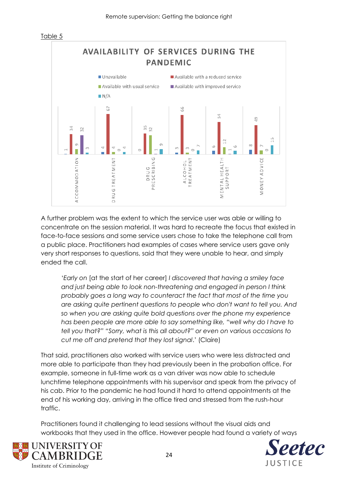



A further problem was the extent to which the service user was able or willing to concentrate on the session material. It was hard to recreate the focus that existed in face-to-face sessions and some service users chose to take the telephone call from a public place. Practitioners had examples of cases where service users gave only very short responses to questions, said that they were unable to hear, and simply ended the call.

'*Early on* [at the start of her career] *I discovered that having a smiley face and just being able to look non-threatening and engaged in person I think probably goes a long way to counteract the fact that most of the time you are asking quite pertinent questions to people who don't want to tell you. And so when you are asking quite bold questions over the phone my experience has been people are more able to say something like, "well why do I have to tell you that?" "Sorry, what is this all about?" or even on various occasions to cut me off and pretend that they lost signal*.' (Claire)

That said, practitioners also worked with service users who were less distracted and more able to participate than they had previously been in the probation office. For example, someone in full-time work as a van driver was now able to schedule lunchtime telephone appointments with his supervisor and speak from the privacy of his cab. Prior to the pandemic he had found it hard to attend appointments at the end of his working day, arriving in the office tired and stressed from the rush-hour traffic.

Practitioners found it challenging to lead sessions without the visual aids and workbooks that they used in the office. However people had found a variety of ways



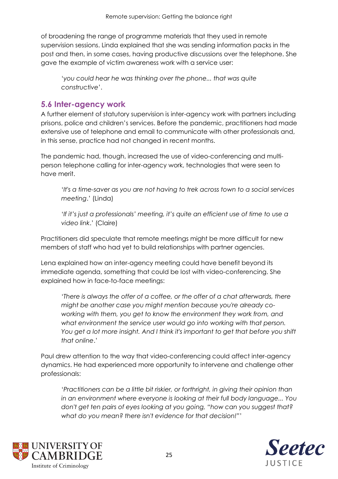of broadening the range of programme materials that they used in remote supervision sessions. Linda explained that she was sending information packs in the post and then, in some cases, having productive discussions over the telephone. She gave the example of victim awareness work with a service user:

'*you could hear he was thinking over the phone... that was quite constructive*'.

### **5.6 Inter-agency work**

A further element of statutory supervision is inter-agency work with partners including prisons, police and children's services. Before the pandemic, practitioners had made extensive use of telephone and email to communicate with other professionals and, in this sense, practice had not changed in recent months.

The pandemic had, though, increased the use of video-conferencing and multiperson telephone calling for inter-agency work, technologies that were seen to have merit.

'*It's a time-saver as you are not having to trek across town to a social services meeting*.' (Linda)

'*If it's just a professionals' meeting, it's quite an efficient use of time to use a video link*.' (Claire)

Practitioners did speculate that remote meetings might be more difficult for new members of staff who had yet to build relationships with partner agencies.

Lena explained how an inter-agency meeting could have benefit beyond its immediate agenda, something that could be lost with video-conferencing. She explained how in face-to-face meetings:

'*There is always the offer of a coffee, or the offer of a chat afterwards, there might be another case you might mention because you're already coworking with them, you get to know the environment they work from, and what environment the service user would go into working with that person. You get a lot more insight. And I think it's important to get that before you shift that online*.'

Paul drew attention to the way that video-conferencing could affect inter-agency dynamics. He had experienced more opportunity to intervene and challenge other professionals:

'*Practitioners can be a little bit riskier, or forthright, in giving their opinion than in an environment where everyone is looking at their full body language... You don't get ten pairs of eyes looking at you going, "how can you suggest that? what do you mean? there isn't evidence for that decision!"*'



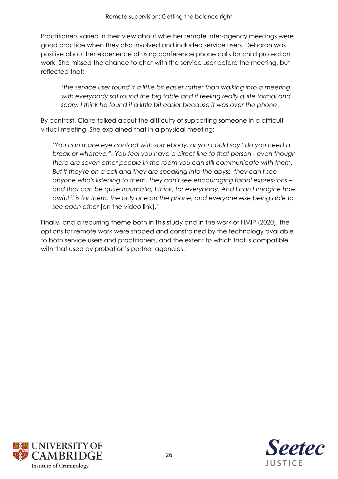Practitioners varied in their view about whether remote inter-agency meetings were good practice when they also involved and included service users. Deborah was positive about her experience of using conference phone calls for child protection work. She missed the chance to chat with the service user before the meeting, but reflected that:

'*the service user found it a little bit easier rather than walking into a meeting with everybody sat round the big table and it feeling really quite formal and scary. I think he found it a little bit easier because it was over the phone*.'

By contrast, Claire talked about the difficulty of supporting someone in a difficult virtual meeting. She explained that in a physical meeting:

'*You can make eye contact with somebody, or you could say "do you need a break or whatever". You feel you have a direct line to that person - even though there are seven other people in the room you can still communicate with them. But if they're on a call and they are speaking into the abyss, they can't see anyone who's listening to them, they can't see encouraging facial expressions – and that can be quite traumatic, I think, for everybody. And I can't imagine how awful it is for them, the only one on the phone, and everyone else being able to see each other* [on the video link].'

Finally, and a recurring theme both in this study and in the work of HMIP (2020), the options for remote work were shaped and constrained by the technology available to both service users and practitioners, and the extent to which that is compatible with that used by probation's partner agencies.



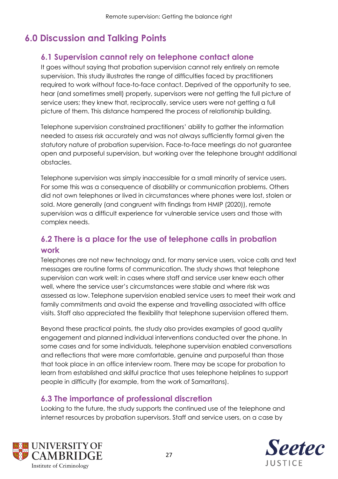## **6.0 Discussion and Talking Points**

## **6.1 Supervision cannot rely on telephone contact alone**

It goes without saying that probation supervision cannot rely entirely on remote supervision. This study illustrates the range of difficulties faced by practitioners required to work without face-to-face contact. Deprived of the opportunity to see, hear (and sometimes smell) properly, supervisors were not getting the full picture of service users; they knew that, reciprocally, service users were not getting a full picture of them. This distance hampered the process of relationship building.

Telephone supervision constrained practitioners' ability to gather the information needed to assess risk accurately and was not always sufficiently formal given the statutory nature of probation supervision. Face-to-face meetings do not guarantee open and purposeful supervision, but working over the telephone brought additional obstacles.

Telephone supervision was simply inaccessible for a small minority of service users. For some this was a consequence of disability or communication problems. Others did not own telephones or lived in circumstances where phones were lost, stolen or sold. More generally (and congruent with findings from HMIP (2020)), remote supervision was a difficult experience for vulnerable service users and those with complex needs.

## **6.2 There is a place for the use of telephone calls in probation work**

Telephones are not new technology and, for many service users, voice calls and text messages are routine forms of communication. The study shows that telephone supervision can work well: in cases where staff and service user knew each other well, where the service user's circumstances were stable and where risk was assessed as low. Telephone supervision enabled service users to meet their work and family commitments and avoid the expense and travelling associated with office visits. Staff also appreciated the flexibility that telephone supervision offered them.

Beyond these practical points, the study also provides examples of good quality engagement and planned individual interventions conducted over the phone. In some cases and for some individuals, telephone supervision enabled conversations and reflections that were more comfortable, genuine and purposeful than those that took place in an office interview room. There may be scope for probation to learn from established and skilful practice that uses telephone helplines to support people in difficulty (for example, from the work of Samaritans).

### **6.3 The importance of professional discretion**

Looking to the future, the study supports the continued use of the telephone and internet resources by probation supervisors. Staff and service users, on a case by



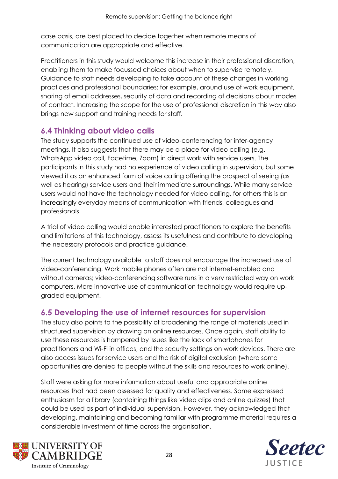case basis, are best placed to decide together when remote means of communication are appropriate and effective.

Practitioners in this study would welcome this increase in their professional discretion, enabling them to make focussed choices about when to supervise remotely. Guidance to staff needs developing to take account of these changes in working practices and professional boundaries: for example, around use of work equipment, sharing of email addresses, security of data and recording of decisions about modes of contact. Increasing the scope for the use of professional discretion in this way also brings new support and training needs for staff.

### **6.4 Thinking about video calls**

The study supports the continued use of video-conferencing for inter-agency meetings. It also suggests that there may be a place for video calling (e.g. WhatsApp video call, Facetime, Zoom) in direct work with service users. The participants in this study had no experience of video calling in supervision, but some viewed it as an enhanced form of voice calling offering the prospect of seeing (as well as hearing) service users and their immediate surroundings. While many service users would not have the technology needed for video calling, for others this is an increasingly everyday means of communication with friends, colleagues and professionals.

A trial of video calling would enable interested practitioners to explore the benefits and limitations of this technology, assess its usefulness and contribute to developing the necessary protocols and practice guidance.

The current technology available to staff does not encourage the increased use of video-conferencing. Work mobile phones often are not internet-enabled and without cameras; video-conferencing software runs in a very restricted way on work computers. More innovative use of communication technology would require upgraded equipment.

## **6.5 Developing the use of internet resources for supervision**

The study also points to the possibility of broadening the range of materials used in structured supervision by drawing on online resources. Once again, staff ability to use these resources is hampered by issues like the lack of smartphones for practitioners and Wi-Fi in offices, and the security settings on work devices. There are also access issues for service users and the risk of digital exclusion (where some opportunities are denied to people without the skills and resources to work online).

Staff were asking for more information about useful and appropriate online resources that had been assessed for quality and effectiveness. Some expressed enthusiasm for a library (containing things like video clips and online quizzes) that could be used as part of individual supervision. However, they acknowledged that developing, maintaining and becoming familiar with programme material requires a considerable investment of time across the organisation.



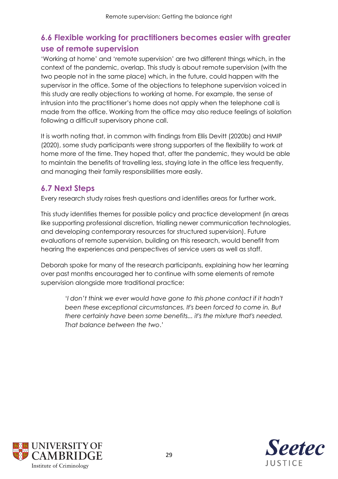## **6.6 Flexible working for practitioners becomes easier with greater use of remote supervision**

'Working at home' and 'remote supervision' are two different things which, in the context of the pandemic, overlap. This study is about remote supervision (with the two people not in the same place) which, in the future, could happen with the supervisor in the office. Some of the objections to telephone supervision voiced in this study are really objections to working at home. For example, the sense of intrusion into the practitioner's home does not apply when the telephone call is made from the office. Working from the office may also reduce feelings of isolation following a difficult supervisory phone call.

It is worth noting that, in common with findings from Ellis Devitt (2020b) and HMIP (2020), some study participants were strong supporters of the flexibility to work at home more of the time. They hoped that, after the pandemic, they would be able to maintain the benefits of travelling less, staying late in the office less frequently, and managing their family responsibilities more easily.

### **6.7 Next Steps**

Every research study raises fresh questions and identifies areas for further work.

This study identifies themes for possible policy and practice development (in areas like supporting professional discretion, trialling newer communication technologies, and developing contemporary resources for structured supervision). Future evaluations of remote supervision, building on this research, would benefit from hearing the experiences and perspectives of service users as well as staff.

Deborah spoke for many of the research participants, explaining how her learning over past months encouraged her to continue with some elements of remote supervision alongside more traditional practice:

'*I don't think we ever would have gone to this phone contact if it hadn't been these exceptional circumstances. It's been forced to come in. But there certainly have been some benefits... it's the mixture that's needed. That balance between the two*.'



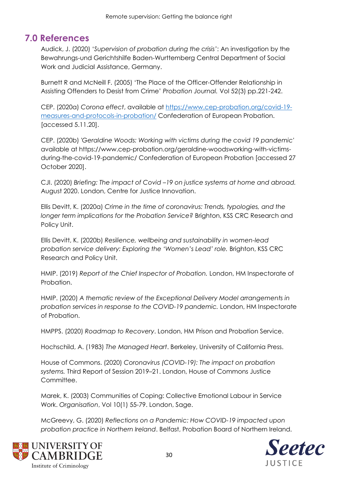## **7.0 References**

Audick, J. (2020) '*Supervision of probation during the crisis'*: An investigation by the Bewahrungs-und Gerichtshilfe Baden-Wurttemberg Central Department of Social Work and Judicial Assistance, Germany.

Burnett R and McNeill F. (2005) 'The Place of the Officer-Offender Relationship in Assisting Offenders to Desist from Crime' *Probation Journal.* Vol 52(3) pp.221-242.

CEP. (2020a) *Corona effect*, available at [https://www.cep-probation.org/covid-19](https://www.cep-probation.org/covid-19-measures-and-protocols-in-probation/) [measures-and-protocols-in-probation/](https://www.cep-probation.org/covid-19-measures-and-protocols-in-probation/) Confederation of European Probation. [accessed 5.11.20].

CEP. (2020b) *'Geraldine Woods: Working with victims during the covid 19 pandemic'*  available at https://www.cep-probation.org/geraldine-woodsworking-with-victimsduring-the-covid-19-pandemic/ Confederation of European Probation [accessed 27 October 2020].

CJI. (2020) *Briefing: The impact of Covid –19 on justice systems at home and abroad.*  August 2020. London, Centre for Justice Innovation.

Ellis Devitt, K. (2020a) *Crime in the time of coronavirus: Trends, typologies, and the longer term implications for the Probation Service?* Brighton, KSS CRC Research and Policy Unit.

Ellis Devitt, K. (2020b) *Resilience, wellbeing and sustainability in women-lead probation service delivery: Exploring the 'Women's Lead' role.* Brighton, KSS CRC Research and Policy Unit.

HMIP. (2019) *Report of the Chief Inspector of Probation.* London, HM Inspectorate of Probation.

HMIP. (2020) *A thematic review of the Exceptional Delivery Model arrangements in probation services in response to the COVID-19 pandemic.* London, HM Inspectorate of Probation.

HMPPS. (2020) *Roadmap to Recovery*. London, HM Prison and Probation Service.

Hochschild, A. (1983) *The Managed Heart*. Berkeley, University of California Press.

House of Commons. (2020) *Coronavirus (COVID-19): The impact on probation systems.* Third Report of Session 2019–21. London, House of Commons Justice Committee.

Marek, K. (2003) Communities of Coping: Collective Emotional Labour in Service Work. *Organisation*, Vol 10(1) 55-79. London, Sage.

McGreevy, G. (2020) *Reflections on a Pandemic: How COVID-19 impacted upon probation practice in Northern Ireland*. Belfast, Probation Board of Northern Ireland.



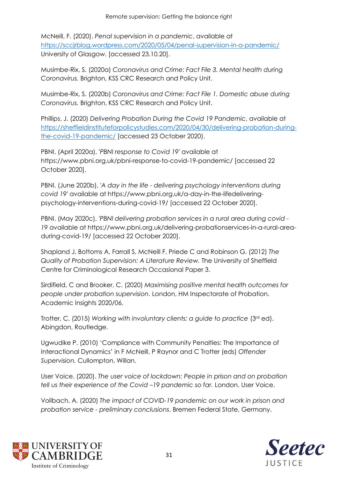McNeill, F. (2020). *Penal supervision in a pandemic*, available at <https://sccjrblog.wordpress.com/2020/05/04/penal-supervision-in-a-pandemic/> University of Glasgow. [accessed 23.10.20].

Musimbe-Rix, S. (2020a) *Coronavirus and Crime: Fact File 3. Mental health during Coronavirus.* Brighton, KSS CRC Research and Policy Unit.

Musimbe-Rix, S. (2020b) *Coronavirus and Crime: Fact File 1. Domestic abuse during Coronavirus.* Brighton, KSS CRC Research and Policy Unit.

Phillips, J. (2020) *Delivering Probation During the Covid 19 Pandemic*, available at [https://sheffieldinstituteforpolicystudies.com/2020/04/30/delivering-probation-during](https://sheffieldinstituteforpolicystudies.com/2020/04/30/delivering-probation-during-the-covid-19-pandemic/)[the-covid-19-pandemic/](https://sheffieldinstituteforpolicystudies.com/2020/04/30/delivering-probation-during-the-covid-19-pandemic/) [accessed 23 October 2020).

PBNI. (April 2020a), '*PBNI response to Covid 19'* available at https://www.pbni.org.uk/pbni-response-to-covid-19-pandemic/ [accessed 22 October 2020].

PBNI. (June 2020b), '*A day in the life - delivering psychology interventions during covid 19'* available at https://www.pbni.org.uk/a-day-in-the-lifedeliveringpsychology-interventions-during-covid-19/ [accessed 22 October 2020].

PBNI. (May 2020c), *'PBNI delivering probation services in a rural area during covid - 19* available at https://www.pbni.org.uk/delivering-probationservices-in-a-rural-areaduring-covid-19/ [accessed 22 October 2020].

Shapland J, Bottoms A, Farrall S, McNeill F, Priede C and Robinson G. (2012) *The Quality of Probation Supervision: A Literature Review.* The University of Sheffield Centre for Criminological Research Occasional Paper 3.

Sirdifield, C and Brooker, C. (2020) *Maximising positive mental health outcomes for people under probation supervision*. London, HM Inspectorate of Probation. Academic Insights 2020/06.

Trotter, C. (2015) *Working with involuntary clients: a guide to practice* (3rd ed). Abingdon, Routledge.

Ugwudike P. (2010) 'Compliance with Community Penalties: The Importance of Interactional Dynamics' in F McNeill, P Raynor and C Trotter (eds) *Offender Supervision.* Cullompton, Willan.

User Voice. (2020). *The user voice of lockdown: People in prison and on probation tell us their experience of the Covid –19 pandemic so far.* London, User Voice.

Vollbach, A. (2020) *The impact of COVID-19 pandemic on our work in prison and probation service - preliminary conclusions*. Bremen Federal State, Germany.



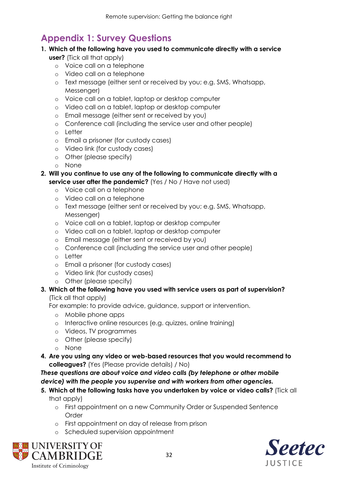## **Appendix 1: Survey Questions**

- **1. Which of the following have you used to communicate directly with a service** 
	- **user?** (Tick all that apply)
		- o Voice call on a telephone
		- o Video call on a telephone
		- o Text message (either sent or received by you; e.g. SMS, Whatsapp, Messenger)
		- o Voice call on a tablet, laptop or desktop computer
		- o Video call on a tablet, laptop or desktop computer
		- o Email message (either sent or received by you)
		- o Conference call (including the service user and other people)
		- o Letter
		- o Email a prisoner (for custody cases)
		- o Video link (for custody cases)
		- o Other (please specify)
		- o None
- **2. Will you continue to use any of the following to communicate directly with a service user after the pandemic?** (Yes / No / Have not used)
	- o Voice call on a telephone
	- o Video call on a telephone
	- o Text message (either sent or received by you; e.g. SMS, Whatsapp, Messenger)
	- o Voice call on a tablet, laptop or desktop computer
	- o Video call on a tablet, laptop or desktop computer
	- o Email message (either sent or received by you)
	- o Conference call (including the service user and other people)
	- o Letter
	- o Email a prisoner (for custody cases)
	- o Video link (for custody cases)
	- o Other (please specify)

#### **3. Which of the following have you used with service users as part of supervision?** (Tick all that apply)

For example: to provide advice, guidance, support or intervention.

- o Mobile phone apps
- o Interactive online resources (e.g. quizzes, online training)
- o Videos, TV programmes
- o Other (please specify)
- o None
- **4. Are you using any video or web-based resources that you would recommend to colleagues?** (Yes (Please provide details) / No)

*These questions are about voice and video calls (by telephone or other mobile device) with the people you supervise and with workers from other agencies.*

- **5. Which of the following tasks have you undertaken by voice or video calls?** (Tick all that apply)
	- o First appointment on a new Community Order or Suspended Sentence Order
	- o First appointment on day of release from prison
	- o Scheduled supervision appointment



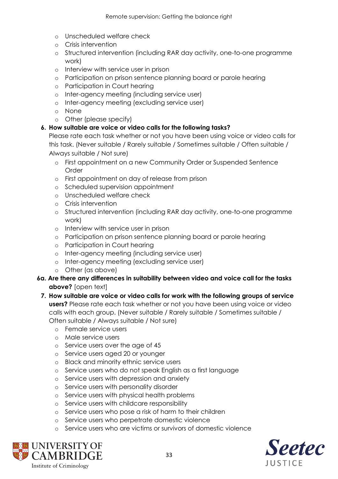- o Unscheduled welfare check
- o Crisis intervention
- o Structured intervention (including RAR day activity, one-to-one programme work)
- o Interview with service user in prison
- o Participation on prison sentence planning board or parole hearing
- o Participation in Court hearing
- o Inter-agency meeting (including service user)
- o Inter-agency meeting (excluding service user)
- o None
- o Other (please specify)

#### **6. How suitable are voice or video calls for the following tasks?**

Please rate each task whether or not you have been using voice or video calls for this task. (Never suitable / Rarely suitable / Sometimes suitable / Often suitable / Always suitable / Not sure)

- o First appointment on a new Community Order or Suspended Sentence Order
- o First appointment on day of release from prison
- o Scheduled supervision appointment
- o Unscheduled welfare check
- o Crisis intervention
- o Structured intervention (including RAR day activity, one-to-one programme work)
- o Interview with service user in prison
- o Participation on prison sentence planning board or parole hearing
- o Participation in Court hearing
- o Inter-agency meeting (including service user)
- o Inter-agency meeting (excluding service user)
- o Other (as above)
- **6a. Are there any differences in suitability between video and voice call for the tasks above?** [open text]
	- **7. How suitable are voice or video calls for work with the following groups of service users?** Please rate each task whether or not you have been using voice or video calls with each group. (Never suitable / Rarely suitable / Sometimes suitable / Often suitable / Always suitable / Not sure)
		- o Female service users
		- o Male service users
		- o Service users over the age of 45
		- o Service users aged 20 or younger
		- o Black and minority ethnic service users
		- o Service users who do not speak English as a first language
		- o Service users with depression and anxiety
		- o Service users with personality disorder
		- o Service users with physical health problems
		- o Service users with childcare responsibility
		- o Service users who pose a risk of harm to their children
		- o Service users who perpetrate domestic violence
		- o Service users who are victims or survivors of domestic violence



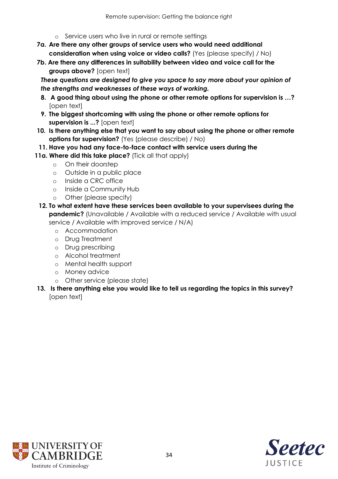- o Service users who live in rural or remote settings
- **7a. Are there any other groups of service users who would need additional consideration when using voice or video calls?** (Yes (please specify) / No)
- **7b. Are there any differences in suitability between video and voice call for the groups above?** [open text]

*These questions are designed to give you space to say more about your opinion of the strengths and weaknesses of these ways of working.*

- **8. A good thing about using the phone or other remote options for supervision is …?**  [open text]
- **9. The biggest shortcoming with using the phone or other remote options for supervision is ...?** [open text]
- **10. Is there anything else that you want to say about using the phone or other remote options for supervision?** (Yes (please describe) / No)
- **11. Have you had any face-to-face contact with service users during the**
- **11a. Where did this take place?** (Tick all that apply)
	- o On their doorstep
	- o Outside in a public place
	- o Inside a CRC office
	- o Inside a Community Hub
	- o Other (please specify)
- **12. To what extent have these services been available to your supervisees during the pandemic?** (Unavailable / Available with a reduced service / Available with usual service / Available with improved service / N/A)
	- o Accommodation
	- o Drug Treatment
	- o Drug prescribing
	- o Alcohol treatment
	- o Mental health support
	- o Money advice
	- o Other service (please state)
- **13. Is there anything else you would like to tell us regarding the topics in this survey?**  [open text]



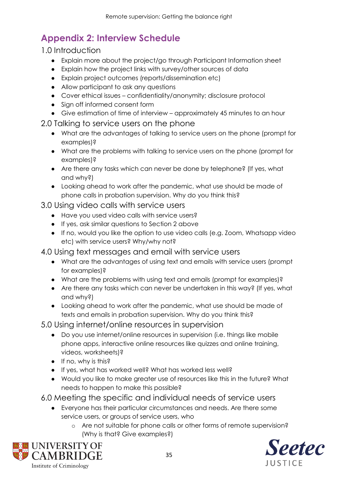## **Appendix 2: Interview Schedule**

### 1.0 Introduction

- Explain more about the project/go through Participant Information sheet
- Explain how the project links with survey/other sources of data
- Explain project outcomes (reports/dissemination etc)
- Allow participant to ask any questions
- Cover ethical issues confidentiality/anonymity; disclosure protocol
- Sign off informed consent form
- Give estimation of time of interview approximately 45 minutes to an hour

## 2.0 Talking to service users on the phone

- What are the advantages of talking to service users on the phone (prompt for examples)?
- What are the problems with talking to service users on the phone (prompt for examples)?
- Are there any tasks which can never be done by telephone? (If yes, what and why?)
- Looking ahead to work after the pandemic, what use should be made of phone calls in probation supervision. Why do you think this?

## 3.0 Using video calls with service users

- Have you used video calls with service users?
- If yes, ask similar questions to Section 2 above
- If no, would you like the option to use video calls (e.g. Zoom, Whatsapp video etc) with service users? Why/why not?

## 4.0 Using text messages and email with service users

- What are the advantages of using text and emails with service users (prompt for examples)?
- What are the problems with using text and emails (prompt for examples)?
- Are there any tasks which can never be undertaken in this way? (If yes, what and why?)
- Looking ahead to work after the pandemic, what use should be made of texts and emails in probation supervision. Why do you think this?

## 5.0 Using internet/online resources in supervision

- Do you use internet/online resources in supervision (i.e. things like mobile phone apps, interactive online resources like quizzes and online training, videos, worksheets)?
- If no, why is this?
- If yes, what has worked well? What has worked less well?
- Would you like to make greater use of resources like this in the future? What needs to happen to make this possible?

6.0 Meeting the specific and individual needs of service users

- Everyone has their particular circumstances and needs. Are there some service users, or groups of service users, who
	- o Are not suitable for phone calls or other forms of remote supervision? (Why is that? Give examples?)



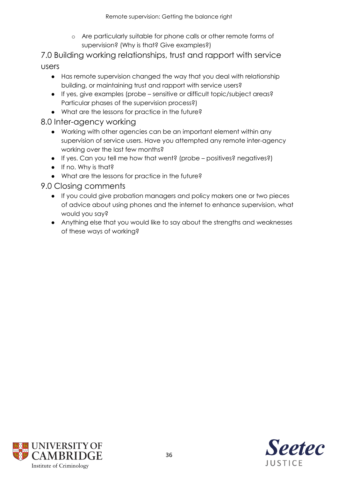o Are particularly suitable for phone calls or other remote forms of supervision? (Why is that? Give examples?)

7.0 Building working relationships, trust and rapport with service users

- Has remote supervision changed the way that you deal with relationship building, or maintaining trust and rapport with service users?
- If yes, give examples (probe sensitive or difficult topic/subject areas? Particular phases of the supervision process?)
- What are the lessons for practice in the future?

### 8.0 Inter-agency working

- Working with other agencies can be an important element within any supervision of service users. Have you attempted any remote inter-agency working over the last few months?
- If yes. Can you tell me how that went? (probe positives? negatives?)
- If no. Why is that?
- What are the lessons for practice in the future?

### 9.0 Closing comments

- If you could give probation managers and policy makers one or two pieces of advice about using phones and the internet to enhance supervision, what would you say?
- Anything else that you would like to say about the strengths and weaknesses of these ways of working?